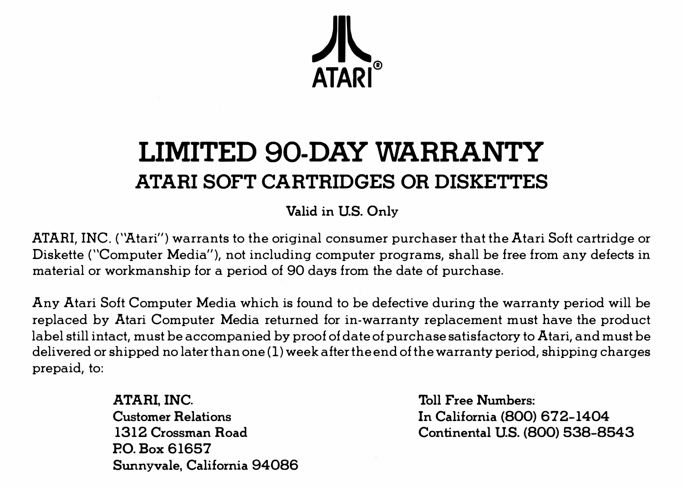

## **LIMITED 90-DAY WARRANTY ATARI SOFT CARTRIDGES OR DISKETTES**

**Valid in U.S. Only** 

**ATARI, INC. ("Atari") warrants to the original consumer purchaser that the Atari Soft cartridge or Diskette ("Computer Media"), not including computer programs, shall be free from any defects in material or workmanship for a period of 90 days from the date of purchase.** 

**Any Atari Soft Computer Media which is found to be defective during the warranty period will be replaced by Atari Computer Media returned for in-warranty replacement must have the product label still intact, must be accompanied by proof of date of purchase satisfactory to Atari, and must be delivered or shipped no later than one (1) week after the end of the warranty period, shipping charges prepaid, to:** 

> **ATARI.INC. Customer Relations 1312 Crossman Road P.O. Box 61657 Sunnyvale, California 94086**

**Toll Free Numbers: In California (800) 672-1404 Continental U.S. (800) 538-8543**